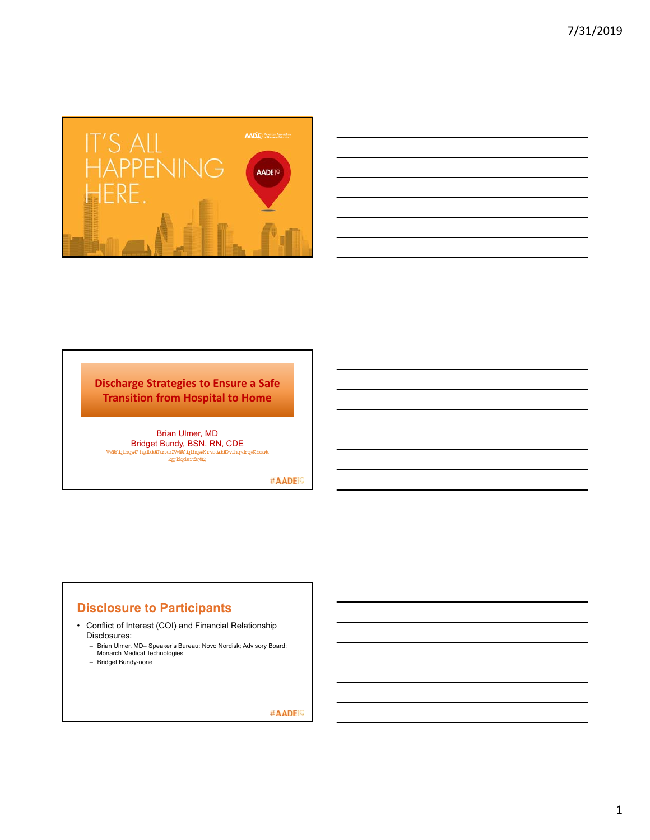

| and the contract of the contract of the contract of the contract of the contract of the contract of the contract of                                                                                                           |  |
|-------------------------------------------------------------------------------------------------------------------------------------------------------------------------------------------------------------------------------|--|
|                                                                                                                                                                                                                               |  |
|                                                                                                                                                                                                                               |  |
|                                                                                                                                                                                                                               |  |
|                                                                                                                                                                                                                               |  |
|                                                                                                                                                                                                                               |  |
|                                                                                                                                                                                                                               |  |
|                                                                                                                                                                                                                               |  |
|                                                                                                                                                                                                                               |  |
|                                                                                                                                                                                                                               |  |
| the control of the control of the control of the control of the control of the control of the control of the control of the control of the control of the control of the control of the control of the control of the control |  |
|                                                                                                                                                                                                                               |  |
|                                                                                                                                                                                                                               |  |
|                                                                                                                                                                                                                               |  |
|                                                                                                                                                                                                                               |  |
| ,我们也不会有一个人的事情。""我们的人们,我们也不会有一个人的人,我们也不会有一个人的人,我们也不会有一个人的人,我们也不会有一个人的人,我们也不会有一个人的<br>第一百一十一章 我们的人,我们的人们的人们,我们的人们的人们的人们,我们的人们的人们的人们,我们的人们的人们,我们的人们的人们,我们的人们的人们,我们的人们的人                                                          |  |
|                                                                                                                                                                                                                               |  |
|                                                                                                                                                                                                                               |  |
|                                                                                                                                                                                                                               |  |
|                                                                                                                                                                                                                               |  |
|                                                                                                                                                                                                                               |  |
|                                                                                                                                                                                                                               |  |
|                                                                                                                                                                                                                               |  |
|                                                                                                                                                                                                                               |  |
|                                                                                                                                                                                                                               |  |
|                                                                                                                                                                                                                               |  |
|                                                                                                                                                                                                                               |  |
|                                                                                                                                                                                                                               |  |
|                                                                                                                                                                                                                               |  |
|                                                                                                                                                                                                                               |  |
|                                                                                                                                                                                                                               |  |

### **Discharge Strategies to Ensure a Safe Transition from Hospital to Home**

Brian Ulmer, MD Bridget Bundy, BSN, RN, CDE Vwiji/ lqfhqwiP hg lfddjJ urxs 2Vwiji/ lqfhqwiK rvs luddjD vfhqvlrqjK hdok<br>Iaq blqds rdv/ilQ

#AADE<sup>19</sup>

# **Disclosure to Participants**

- Conflict of Interest (COI) and Financial Relationship Disclosures:
	- Brian Ulmer, MD– Speaker's Bureau: Novo Nordisk; Advisory Board: Monarch Medical Technologies
	- Bridget Bundy-none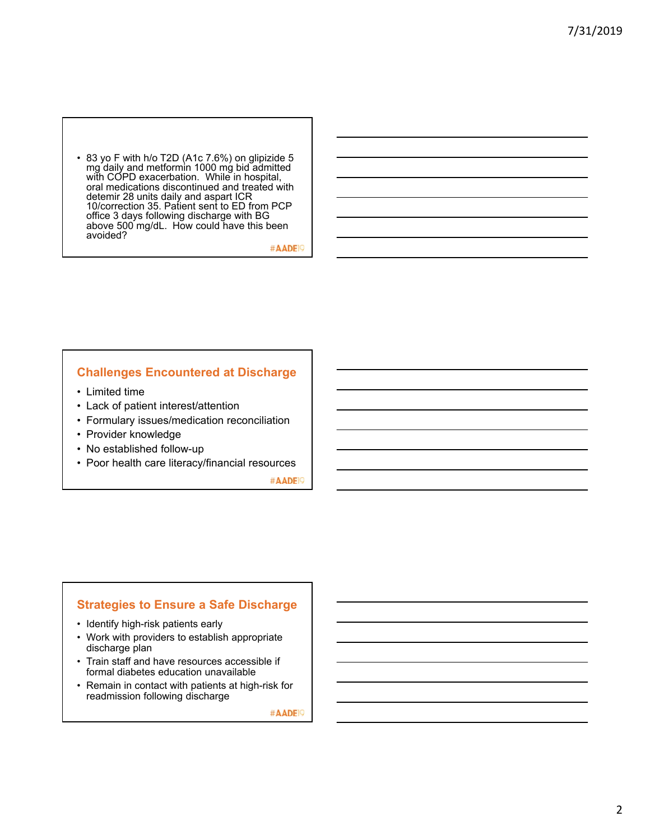• 83 yo F with h/o T2D (A1c 7.6%) on glipizide 5 mg daily and metformin 1000 mg bid admitted with COPD exacerbation. While in hospital, oral medications discontinued and treated with detemir 28 units daily and aspart ICR 10/correction 35. Patient sent to ED from PCP office 3 days following discharge with BG above 500 mg/dL. How could have this been avoided?

#AADE<sup>1</sup>

#### **Challenges Encountered at Discharge**

- Limited time
- Lack of patient interest/attention
- Formulary issues/medication reconciliation
- Provider knowledge
- No established follow-up
- Poor health care literacy/financial resources

#AADE<sup>19</sup>

## **Strategies to Ensure a Safe Discharge**

- Identify high-risk patients early
- Work with providers to establish appropriate discharge plan
- Train staff and have resources accessible if formal diabetes education unavailable
- Remain in contact with patients at high-risk for readmission following discharge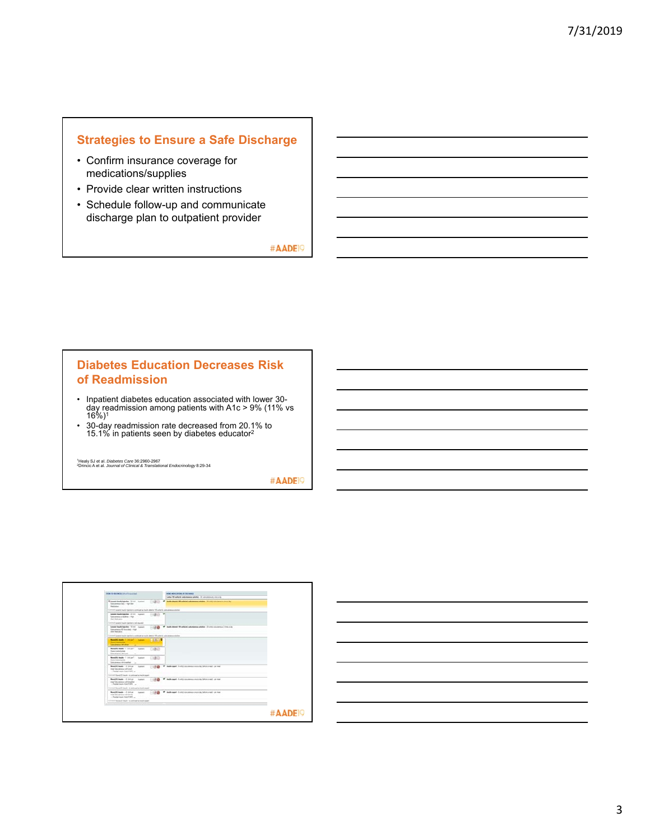# **Strategies to Ensure a Safe Discharge**

- Confirm insurance coverage for medications/supplies
- Provide clear written instructions
- Schedule follow-up and communicate discharge plan to outpatient provider

#AADE<sup>19</sup>

#### **Diabetes Education Decreases Risk of Readmission**

- Inpatient diabetes education associated with lower 30- day readmission among patients with A1c > 9% (11% vs 16%)1
- 30-day readmission rate decreased from 20.1% to 15.1% in patients seen by diabetes educator2

<sup>1</sup>Healy SJ et al. *Diabetes Care* 36:2960-2967<br><sup>2</sup>Drincic A et al. *Journal of Clinical & Translational Endocrinology* 8:29-34

| <b>Was to second the Character</b>                                                                               |                  | being with animal at interested                                                                |      |
|------------------------------------------------------------------------------------------------------------------|------------------|------------------------------------------------------------------------------------------------|------|
|                                                                                                                  |                  | Lette 100 sellahat administration adalah - 31 sekundaranan orang da                            |      |
| <b>Language Souths Industries</b> 14 046 - Insurance<br>×<br>Ashemenes Date - trad-last<br><b>Walker</b>         |                  | leads detect 100 policies advances wholes. It will informe a convict.                          |      |
| Comment cavania deadly backets is portroyed as locally ablance 150 units his science constant                    |                  |                                                                                                |      |
| <b>Several South Hardbar 27 (19) Support</b><br>Subcommon at lacking - Aud-<br>And Statutes:                     |                  |                                                                                                |      |
| Construct Lauguar depute magazine is not respond.                                                                |                  |                                                                                                |      |
| Unexel Seate hipoten 12 (40) Australia<br>Subscriptions \$5 book (as) - High-<br>And Endowice.                   | $-1.58$          | Analis delegal 100 policinal activitiesment activities - (2) polici relations on 1 (4 pc A day |      |
| without party leads locker a polloud or rack-dense 10 policie, alcohomy ideals                                   |                  |                                                                                                |      |
| <b>Readily June 1, 1979 11 - Income</b><br><b>Basic Camabilities</b><br>Laboratories and show                    | <b>Little St</b> |                                                                                                |      |
| <b>Booklif book 1 linker 7 Insight</b><br><b>Stanis Californials</b><br>Subscribences with Land                  | <b>FOR UP</b>    |                                                                                                |      |
| <b>Booklife books</b> - 1 100 per 1 - Insurance<br>Statis Calturations<br>Subscriptions with frankfull<br>$\sim$ | $-180$           |                                                                                                |      |
| <b>Rest Di Japan - Il Driver - Insurance</b><br>ment beautistance will take<br>- Panelal made: has if MT         |                  | 110 G. V. balkapel Luticatomer courts brinand print                                            |      |
| Connect Republic Insular recontinguidate insult appell                                                           |                  |                                                                                                |      |
| <b>Restillingle 1 inter - hance</b><br>may fully democratic with imaginary<br>- Rendel Huley And FART            |                  | V buds aprè l'unité concerne met cite balen a not per moi                                      |      |
| level through the contract and contract                                                                          |                  |                                                                                                |      |
| Mond 20 books - 2 D-F pr - August<br>new Laboratory with direct<br>- Rendel insuler Audi F 997.                  |                  | * Inch aget it articles man out a by belota red - period                                       |      |
| General Associate made a contrast a deale appell                                                                 |                  |                                                                                                |      |
|                                                                                                                  |                  |                                                                                                |      |
|                                                                                                                  |                  |                                                                                                |      |
|                                                                                                                  |                  |                                                                                                | #AAD |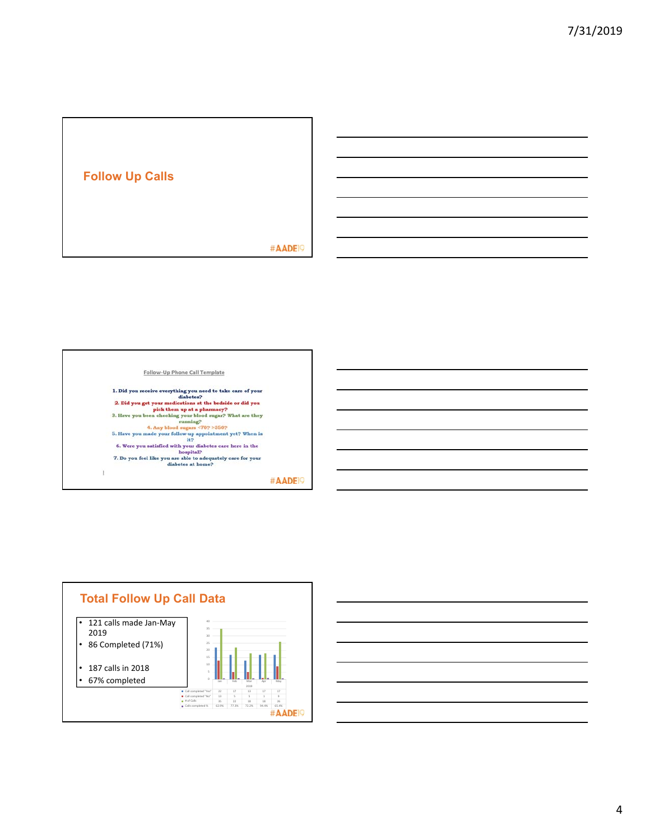





4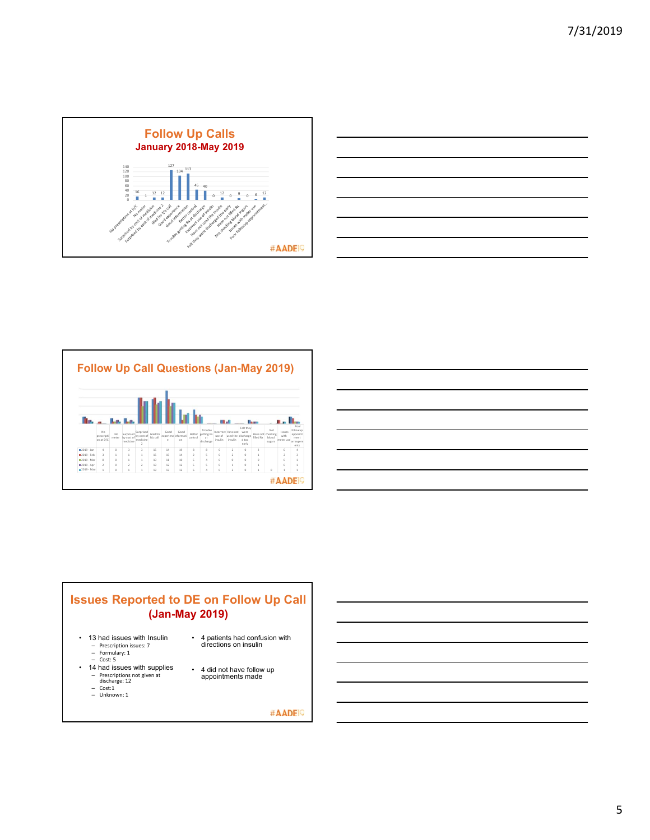





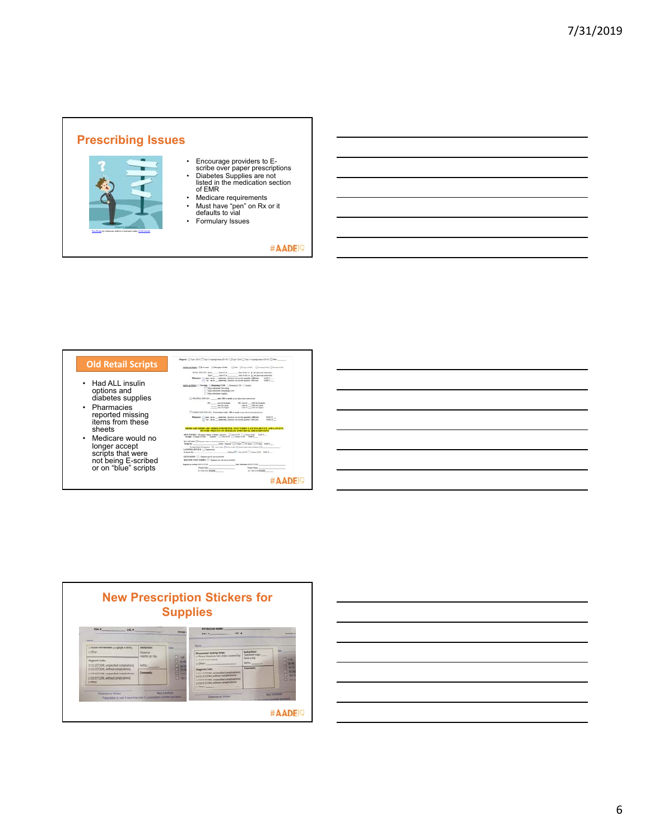





6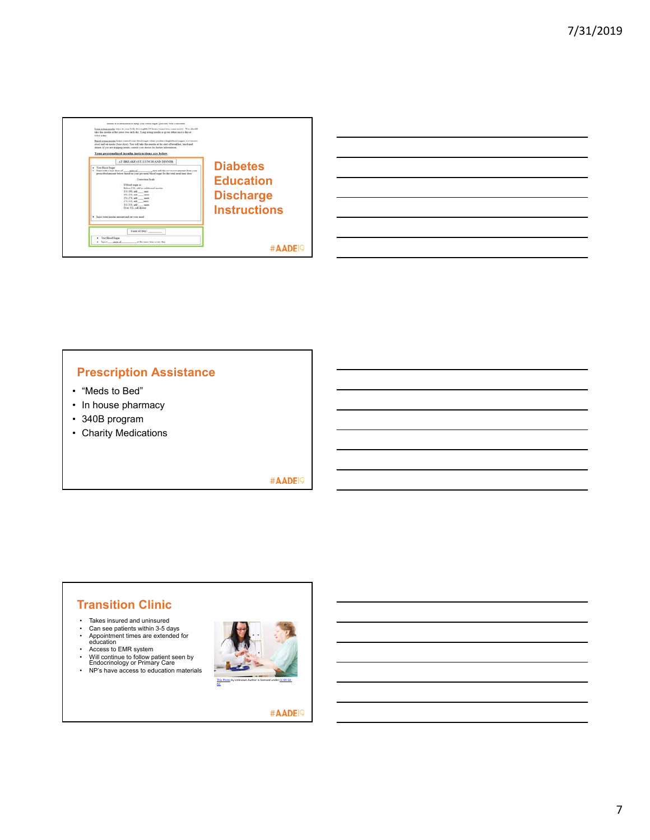

| <u> 1989 - Andrea Santa Andrea Andrea Andrea Andrea Andrea Andrea Andrea Andrea Andrea Andrea Andrea Andrea Andr</u> |  |  |
|----------------------------------------------------------------------------------------------------------------------|--|--|
|                                                                                                                      |  |  |
| <u> 1989 - Andrea Andrew Maria (h. 1989).</u>                                                                        |  |  |
| <u> 1989 - Andrea Andrew Maria (h. 1989).</u>                                                                        |  |  |
| <u> 1989 - Andrea Andrew Maria (h. 1989).</u>                                                                        |  |  |
| <u> 1989 - Andrea Santa Andrea Andrea Andrea Andrea Andrea Andrea Andrea Andrea Andrea Andrea Andrea Andrea Andr</u> |  |  |
|                                                                                                                      |  |  |

# **Prescription Assistance**

- "Meds to Bed"
- In house pharmacy
- 340B program
- Charity Medications

#AADE<sup>19</sup>

# **Transition Clinic**

- 
- Takes insured and uninsured Can see patients within 3-5 days Appointment times are extended for education Access to EMR system
- 
- 
- Will continue to follow patient seen by Endocrinology or Primary Care NP's have access to education materials
-